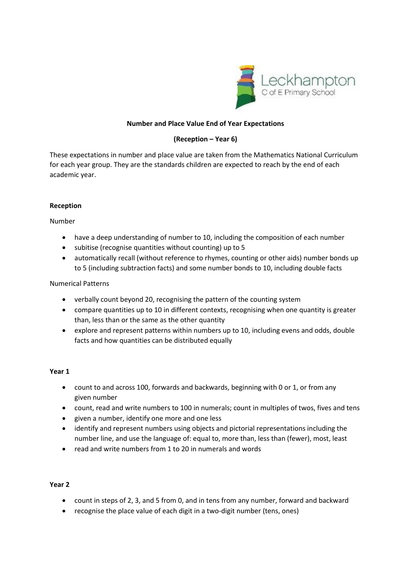

# **Number and Place Value End of Year Expectations**

# **(Reception – Year 6)**

These expectations in number and place value are taken from the Mathematics National Curriculum for each year group. They are the standards children are expected to reach by the end of each academic year.

# **Reception**

Number

- have a deep understanding of number to 10, including the composition of each number
- subitise (recognise quantities without counting) up to 5
- automatically recall (without reference to rhymes, counting or other aids) number bonds up to 5 (including subtraction facts) and some number bonds to 10, including double facts

## Numerical Patterns

- verbally count beyond 20, recognising the pattern of the counting system
- compare quantities up to 10 in different contexts, recognising when one quantity is greater than, less than or the same as the other quantity
- explore and represent patterns within numbers up to 10, including evens and odds, double facts and how quantities can be distributed equally

## **Year 1**

- count to and across 100, forwards and backwards, beginning with 0 or 1, or from any given number
- count, read and write numbers to 100 in numerals; count in multiples of twos, fives and tens
- given a number, identify one more and one less
- identify and represent numbers using objects and pictorial representations including the number line, and use the language of: equal to, more than, less than (fewer), most, least
- read and write numbers from 1 to 20 in numerals and words

## **Year 2**

- count in steps of 2, 3, and 5 from 0, and in tens from any number, forward and backward
- recognise the place value of each digit in a two-digit number (tens, ones)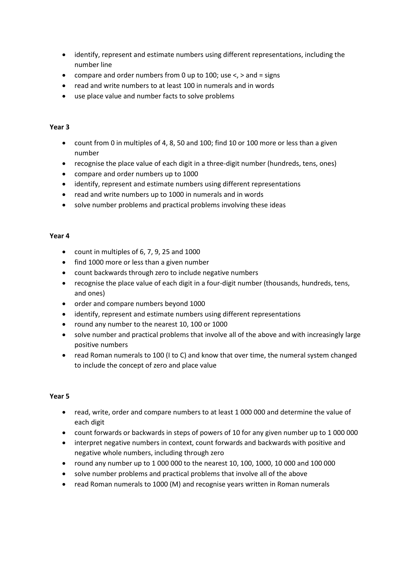- identify, represent and estimate numbers using different representations, including the number line
- compare and order numbers from 0 up to 100; use  $\lt$ ,  $>$  and = signs
- read and write numbers to at least 100 in numerals and in words
- use place value and number facts to solve problems

# **Year 3**

- count from 0 in multiples of 4, 8, 50 and 100; find 10 or 100 more or less than a given number
- recognise the place value of each digit in a three-digit number (hundreds, tens, ones)
- compare and order numbers up to 1000
- identify, represent and estimate numbers using different representations
- read and write numbers up to 1000 in numerals and in words
- solve number problems and practical problems involving these ideas

# **Year 4**

- $\bullet$  count in multiples of 6, 7, 9, 25 and 1000
- find 1000 more or less than a given number
- count backwards through zero to include negative numbers
- recognise the place value of each digit in a four-digit number (thousands, hundreds, tens, and ones)
- order and compare numbers beyond 1000
- identify, represent and estimate numbers using different representations
- round any number to the nearest 10, 100 or 1000
- solve number and practical problems that involve all of the above and with increasingly large positive numbers
- read Roman numerals to 100 (I to C) and know that over time, the numeral system changed to include the concept of zero and place value

## **Year 5**

- read, write, order and compare numbers to at least 1 000 000 and determine the value of each digit
- count forwards or backwards in steps of powers of 10 for any given number up to 1 000 000
- interpret negative numbers in context, count forwards and backwards with positive and negative whole numbers, including through zero
- round any number up to 1 000 000 to the nearest 10, 100, 1000, 10 000 and 100 000
- solve number problems and practical problems that involve all of the above
- read Roman numerals to 1000 (M) and recognise years written in Roman numerals